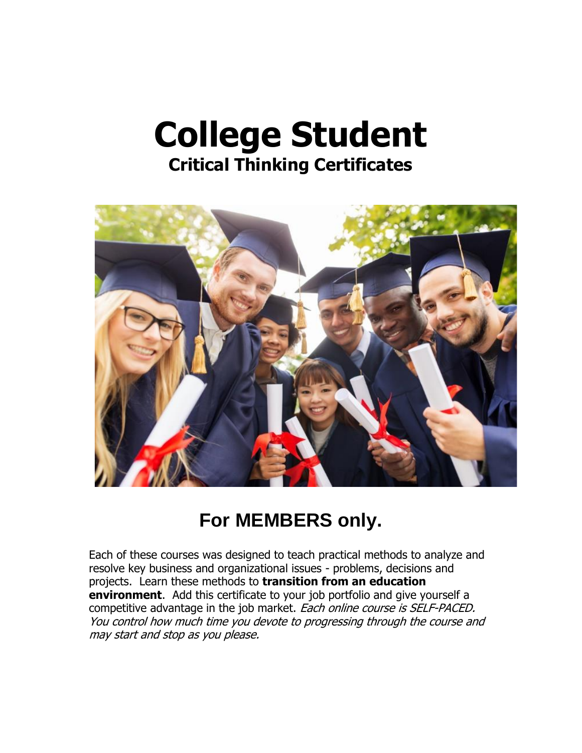# **College Student Critical Thinking Certificates**



# **For MEMBERS only.**

Each of these courses was designed to teach practical methods to analyze and resolve key business and organizational issues - problems, decisions and projects. Learn these methods to **transition from an education environment**. Add this certificate to your job portfolio and give yourself a competitive advantage in the job market. Each online course is SELF-PACED. You control how much time you devote to progressing through the course and may start and stop as you please.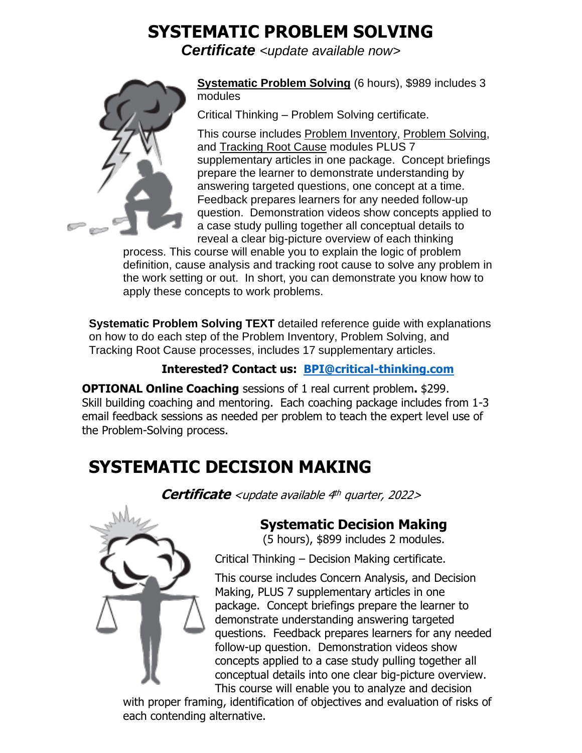# **SYSTEMATIC PROBLEM SOLVING**

*Certificate <update available now>*



**Systematic Problem Solving** (6 hours), \$989 includes 3 modules

Critical Thinking – Problem Solving certificate.

This course includes Problem Inventory, Problem Solving, and Tracking Root Cause modules PLUS 7 supplementary articles in one package. Concept briefings prepare the learner to demonstrate understanding by answering targeted questions, one concept at a time. Feedback prepares learners for any needed follow-up question. Demonstration videos show concepts applied to a case study pulling together all conceptual details to reveal a clear big-picture overview of each thinking

process. This course will enable you to explain the logic of problem definition, cause analysis and tracking root cause to solve any problem in the work setting or out. In short, you can demonstrate you know how to apply these concepts to work problems.

**Systematic Problem Solving TEXT** detailed reference guide with explanations on how to do each step of the Problem Inventory, Problem Solving, and Tracking Root Cause processes, includes 17 supplementary articles.

#### **Interested? Contact us: [BPI@critical-thinking.com](mailto:BPI@critical-thinking.com)**

**OPTIONAL Online Coaching** sessions of 1 real current problem**.** \$299. Skill building coaching and mentoring. Each coaching package includes from 1-3 email feedback sessions as needed per problem to teach the expert level use of the Problem-Solving process.

# **SYSTEMATIC DECISION MAKING**

**Certificate** <update available 4<sup>th</sup> quarter, 2022>



### **Systematic Decision Making**

(5 hours), \$899 includes 2 modules.

Critical Thinking – Decision Making certificate.

This course includes Concern Analysis, and Decision Making, PLUS 7 supplementary articles in one package. Concept briefings prepare the learner to demonstrate understanding answering targeted questions. Feedback prepares learners for any needed follow-up question. Demonstration videos show concepts applied to a case study pulling together all conceptual details into one clear big-picture overview. This course will enable you to analyze and decision

with proper framing, identification of objectives and evaluation of risks of each contending alternative.